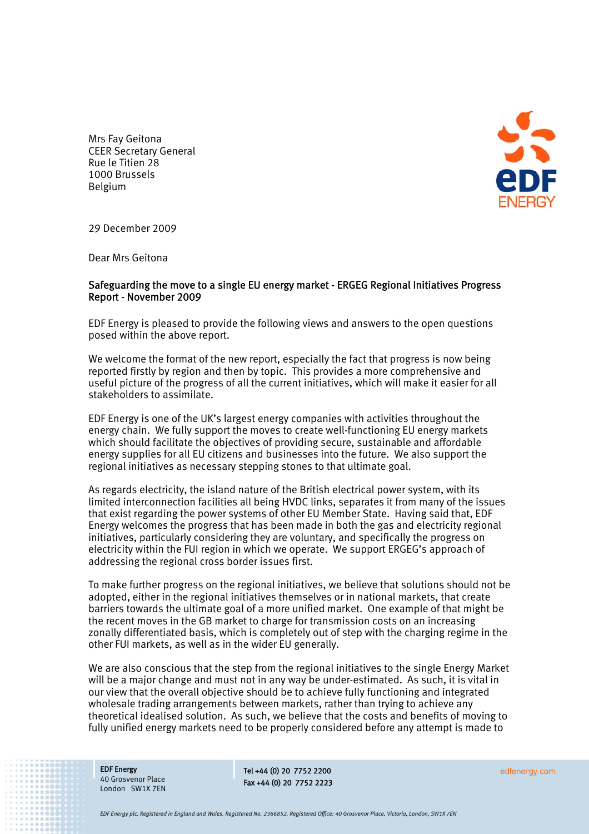

Mrs Fay Geitona CEER Secretary General Rue le Titien 28 1000 Brussels Belgium

29 December 2009

Dear Mrs Geitona

### Safeguarding the move to a single EU energy market - ERGEG Regional Initiatives Progress Report - November 2009

EDF Energy is pleased to provide the following views and answers to the open questions posed within the above report.

We welcome the format of the new report, especially the fact that progress is now being reported firstly by region and then by topic. This provides a more comprehensive and useful picture of the progress of all the current initiatives, which will make it easier for all stakeholders to assimilate.

EDF Energy is one of the UK's largest energy companies with activities throughout the energy chain. We fully support the moves to create well-functioning EU energy markets which should facilitate the objectives of providing secure, sustainable and affordable energy supplies for all EU citizens and businesses into the future. We also support the regional initiatives as necessary stepping stones to that ultimate goal.

As regards electricity, the island nature of the British electrical power system, with its limited interconnection facilities all being HVDC links, separates it from many of the issues that exist regarding the power systems of other EU Member State. Having said that, EDF Energy welcomes the progress that has been made in both the gas and electricity regional initiatives, particularly considering they are voluntary, and specifically the progress on electricity within the FUI region in which we operate. We support ERGEG's approach of addressing the regional cross border issues first.

To make further progress on the regional initiatives, we believe that solutions should not be adopted, either in the regional initiatives themselves or in national markets, that create barriers towards the ultimate goal of a more unified market. One example of that might be the recent moves in the GB market to charge for transmission costs on an increasing zonally differentiated basis, which is completely out of step with the charging regime in the other FUI markets, as well as in the wider EU generally.

We are also conscious that the step from the regional initiatives to the single Energy Market will be a major change and must not in any way be under-estimated. As such, it is vital in our view that the overall objective should be to achieve fully functioning and integrated wholesale trading arrangements between markets, rather than trying to achieve any theoretical idealised solution. As such, we believe that the costs and benefits of moving to fully unified energy markets need to be properly considered before any attempt is made to

EDF Energy 40 Grosvenor Place London SW1X 7EN

Tel +44 (0) 20 7752 2200 Fax +44 (0) 20 7752 2223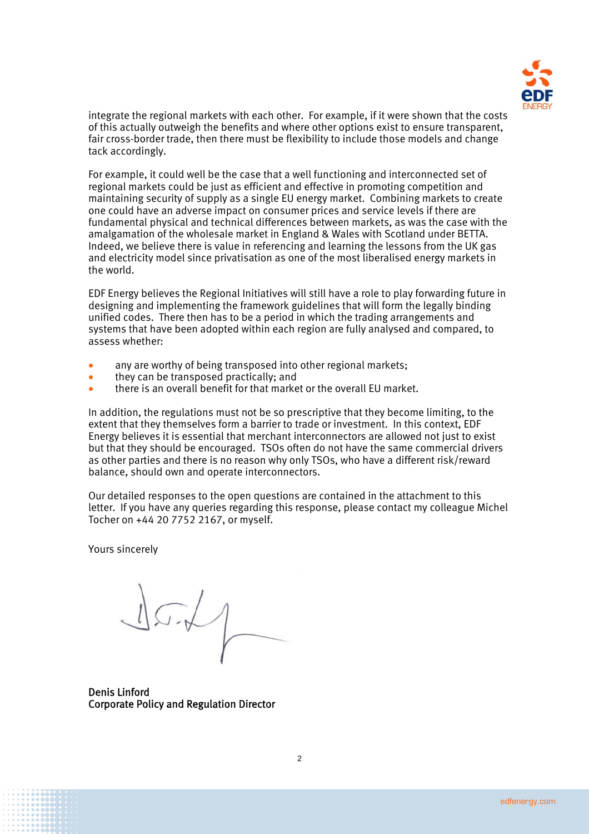

integrate the regional markets with each other. For example, if it were shown that the costs of this actually outweigh the benefits and where other options exist to ensure transparent, fair cross-border trade, then there must be flexibility to include those models and change tack accordingly.

For example, it could well be the case that a well functioning and interconnected set of regional markets could be just as efficient and effective in promoting competition and maintaining security of supply as a single EU energy market. Combining markets to create one could have an adverse impact on consumer prices and service levels if there are fundamental physical and technical differences between markets, as was the case with the amalgamation of the wholesale market in England & Wales with Scotland under BETTA. Indeed, we believe there is value in referencing and learning the lessons from the UK gas and electricity model since privatisation as one of the most liberalised energy markets in the world.

EDF Energy believes the Regional Initiatives will still have a role to play forwarding future in designing and implementing the framework guidelines that will form the legally binding unified codes. There then has to be a period in which the trading arrangements and systems that have been adopted within each region are fully analysed and compared, to assess whether:

- any are worthy of being transposed into other regional markets:
- they can be transposed practically: and
- there is an overall benefit for that market or the overall EU market.

In addition, the regulations must not be so prescriptive that they become limiting, to the extent that they themselves form a barrier to trade or investment. In this context, EDF Energy believes it is essential that merchant interconnectors are allowed not just to exist but that they should be encouraged. TSOs often do not have the same commercial drivers as other parties and there is no reason why only TSOs, who have a different risk/reward balance, should own and operate interconnectors.

Our detailed responses to the open questions are contained in the attachment to this letter. If you have any queries regarding this response, please contact my colleague Michel Tocher on +44 20 7752 2167, or myself.

Yours sincerely

 $127/$ 

Denis Linford Corporate Policy and Regulation Director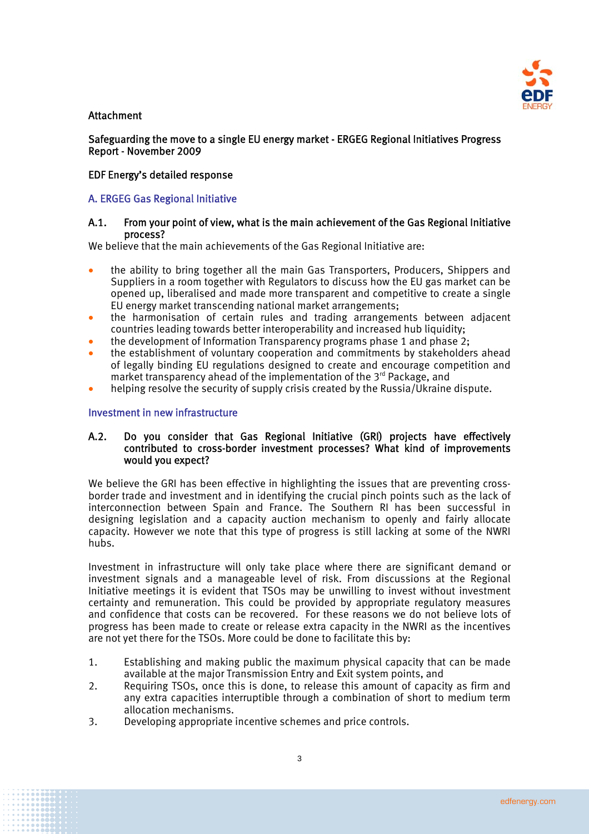

# **Attachment**

Safeguarding the move to a single EU energy market - ERGEG Regional Initiatives Progress Report - November 2009

## EDF Energy's detailed response

# A. ERGEG Gas Regional Initiative

## A.1. From your point of view, what is the main achievement of the Gas Regional Initiative process?

We believe that the main achievements of the Gas Regional Initiative are:

- the ability to bring together all the main Gas Transporters, Producers, Shippers and Suppliers in a room together with Regulators to discuss how the EU gas market can be opened up, liberalised and made more transparent and competitive to create a single EU energy market transcending national market arrangements;
- the harmonisation of certain rules and trading arrangements between adjacent countries leading towards better interoperability and increased hub liquidity;
- the development of Information Transparency programs phase 1 and phase 2;
- the establishment of voluntary cooperation and commitments by stakeholders ahead of legally binding EU regulations designed to create and encourage competition and market transparency ahead of the implementation of the 3<sup>rd</sup> Package, and
- helping resolve the security of supply crisis created by the Russia/Ukraine dispute.

### Investment in new infrastructure

## A.2. Do you consider that Gas Regional Initiative (GRI) projects have effectively contributed to cross-border investment processes? What kind of improvements would you expect?

We believe the GRI has been effective in highlighting the issues that are preventing crossborder trade and investment and in identifying the crucial pinch points such as the lack of interconnection between Spain and France. The Southern RI has been successful in designing legislation and a capacity auction mechanism to openly and fairly allocate capacity. However we note that this type of progress is still lacking at some of the NWRI hubs.

Investment in infrastructure will only take place where there are significant demand or investment signals and a manageable level of risk. From discussions at the Regional Initiative meetings it is evident that TSOs may be unwilling to invest without investment certainty and remuneration. This could be provided by appropriate regulatory measures and confidence that costs can be recovered. For these reasons we do not believe lots of progress has been made to create or release extra capacity in the NWRI as the incentives are not yet there for the TSOs. More could be done to facilitate this by:

- 1. Establishing and making public the maximum physical capacity that can be made available at the major Transmission Entry and Exit system points, and
- 2. Requiring TSOs, once this is done, to release this amount of capacity as firm and any extra capacities interruptible through a combination of short to medium term allocation mechanisms.
- 3. Developing appropriate incentive schemes and price controls.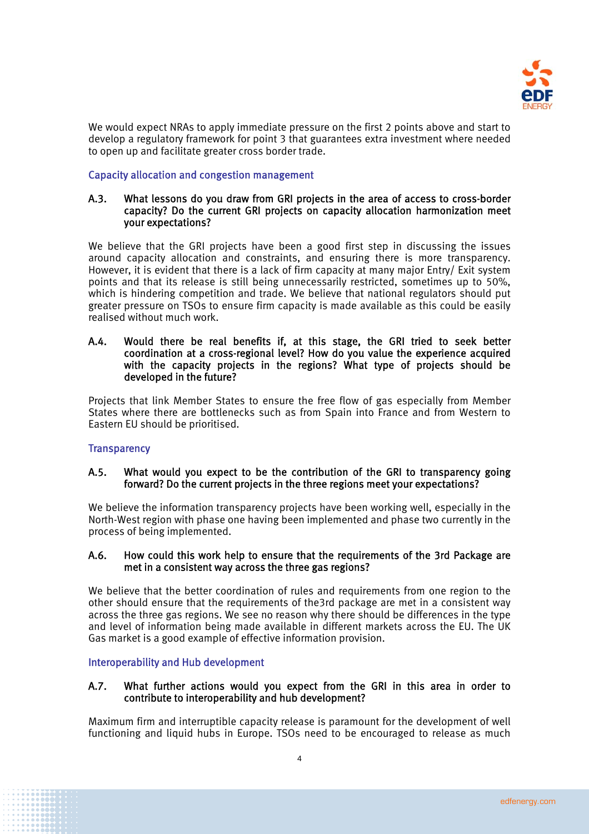

We would expect NRAs to apply immediate pressure on the first 2 points above and start to develop a regulatory framework for point 3 that guarantees extra investment where needed to open up and facilitate greater cross border trade.

# Capacity allocation and congestion management

### A.3. What lessons do you draw from GRI projects in the area of access to cross-border capacity? Do the current GRI projects on capacity allocation harmonization meet your expectations?

We believe that the GRI projects have been a good first step in discussing the issues around capacity allocation and constraints, and ensuring there is more transparency. However, it is evident that there is a lack of firm capacity at many major Entry/ Exit system points and that its release is still being unnecessarily restricted, sometimes up to 50%, which is hindering competition and trade. We believe that national regulators should put greater pressure on TSOs to ensure firm capacity is made available as this could be easily realised without much work.

### A.4. Would there be real benefits if, at this stage, the GRI tried to seek better coordination at a cross-regional level? How do you value the experience acquired with the capacity projects in the regions? What type of projects should be developed in the future?

Projects that link Member States to ensure the free flow of gas especially from Member States where there are bottlenecks such as from Spain into France and from Western to Eastern EU should be prioritised.

# **Transparency**

# A.5. What would you expect to be the contribution of the GRI to transparency going forward? Do the current projects in the three regions meet your expectations?

We believe the information transparency projects have been working well, especially in the North-West region with phase one having been implemented and phase two currently in the process of being implemented.

### A.6. How could this work help to ensure that the requirements of the 3rd Package are met in a consistent way across the three gas regions?

We believe that the better coordination of rules and requirements from one region to the other should ensure that the requirements of the3rd package are met in a consistent way across the three gas regions. We see no reason why there should be differences in the type and level of information being made available in different markets across the EU. The UK Gas market is a good example of effective information provision.

### Interoperability and Hub development

# A.7. What further actions would you expect from the GRI in this area in order to contribute to interoperability and hub development?

Maximum firm and interruptible capacity release is paramount for the development of well functioning and liquid hubs in Europe. TSOs need to be encouraged to release as much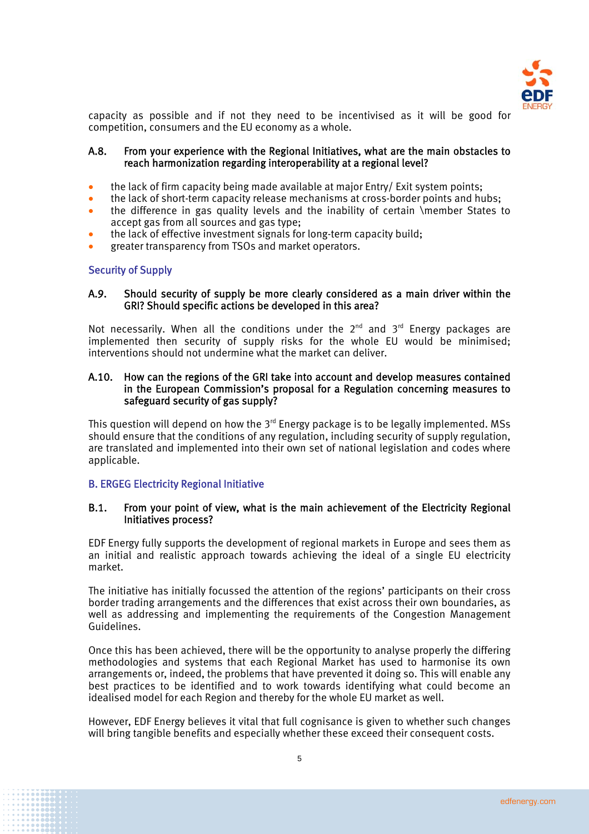

capacity as possible and if not they need to be incentivised as it will be good for competition, consumers and the EU economy as a whole.

### A.8. From your experience with the Regional Initiatives, what are the main obstacles to reach harmonization regarding interoperability at a regional level?

- the lack of firm capacity being made available at major Entry/ Exit system points;
- the lack of short-term capacity release mechanisms at cross-border points and hubs;
- the difference in gas quality levels and the inability of certain \member States to accept gas from all sources and gas type;
- the lack of effective investment signals for long-term capacity build;
- greater transparency from TSOs and market operators.

### Security of Supply

### A.9. Should security of supply be more clearly considered as a main driver within the GRI? Should specific actions be developed in this area?

Not necessarily. When all the conditions under the  $2^{nd}$  and  $3^{rd}$  Energy packages are implemented then security of supply risks for the whole EU would be minimised; interventions should not undermine what the market can deliver.

### A.10. How can the regions of the GRI take into account and develop measures contained in the European Commission's proposal for a Regulation concerning measures to safeguard security of gas supply?

This question will depend on how the  $3<sup>rd</sup>$  Energy package is to be legally implemented. MSs should ensure that the conditions of any regulation, including security of supply regulation, are translated and implemented into their own set of national legislation and codes where applicable.

### B. ERGEG Electricity Regional Initiative

#### B.1. From your point of view, what is the main achievement of the Electricity Regional Initiatives process?

EDF Energy fully supports the development of regional markets in Europe and sees them as an initial and realistic approach towards achieving the ideal of a single EU electricity market.

The initiative has initially focussed the attention of the regions' participants on their cross border trading arrangements and the differences that exist across their own boundaries, as well as addressing and implementing the requirements of the Congestion Management Guidelines.

Once this has been achieved, there will be the opportunity to analyse properly the differing methodologies and systems that each Regional Market has used to harmonise its own arrangements or, indeed, the problems that have prevented it doing so. This will enable any best practices to be identified and to work towards identifying what could become an idealised model for each Region and thereby for the whole EU market as well.

However, EDF Energy believes it vital that full cognisance is given to whether such changes will bring tangible benefits and especially whether these exceed their consequent costs.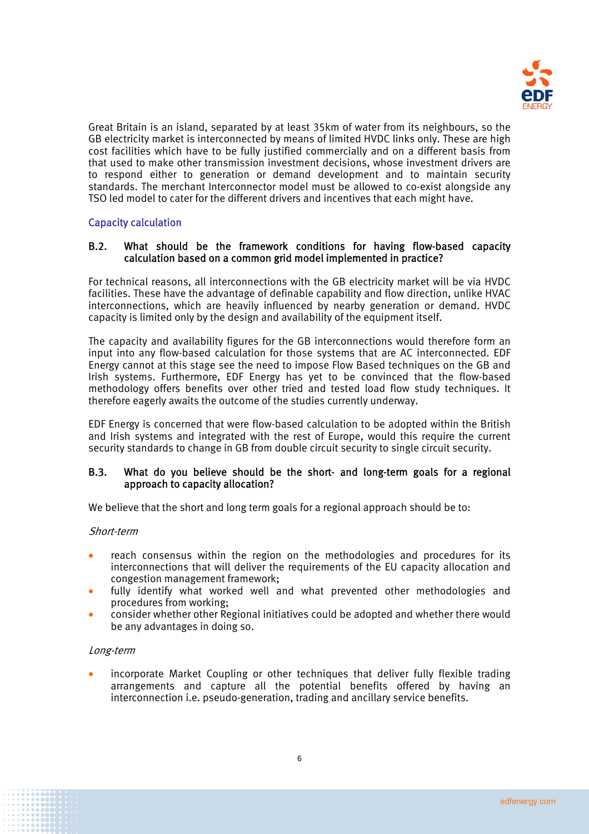

Great Britain is an island, separated by at least 35km of water from its neighbours, so the GB electricity market is interconnected by means of limited HVDC links only. These are high cost facilities which have to be fully justified commercially and on a different basis from that used to make other transmission investment decisions, whose investment drivers are to respond either to generation or demand development and to maintain security standards. The merchant Interconnector model must be allowed to co-exist alongside any TSO led model to cater for the different drivers and incentives that each might have.

# Capacity calculation

## B.2. What should be the framework conditions for having flow-based capacity calculation based on a common grid model implemented in practice?

For technical reasons, all interconnections with the GB electricity market will be via HVDC facilities. These have the advantage of definable capability and flow direction, unlike HVAC interconnections, which are heavily influenced by nearby generation or demand. HVDC capacity is limited only by the design and availability of the equipment itself.

The capacity and availability figures for the GB interconnections would therefore form an input into any flow-based calculation for those systems that are AC interconnected. EDF Energy cannot at this stage see the need to impose Flow Based techniques on the GB and Irish systems. Furthermore, EDF Energy has yet to be convinced that the flow-based methodology offers benefits over other tried and tested load flow study techniques. It therefore eagerly awaits the outcome of the studies currently underway.

EDF Energy is concerned that were flow-based calculation to be adopted within the British and Irish systems and integrated with the rest of Europe, would this require the current security standards to change in GB from double circuit security to single circuit security.

### B.3. What do you believe should be the short- and long-term goals for a regional approach to capacity allocation?

We believe that the short and long term goals for a regional approach should be to:

#### Short-term

- reach consensus within the region on the methodologies and procedures for its interconnections that will deliver the requirements of the EU capacity allocation and congestion management framework;
- fully identify what worked well and what prevented other methodologies and procedures from working;
- consider whether other Regional initiatives could be adopted and whether there would be any advantages in doing so.

#### Long-term

 incorporate Market Coupling or other techniques that deliver fully flexible trading arrangements and capture all the potential benefits offered by having an interconnection i.e. pseudo-generation, trading and ancillary service benefits.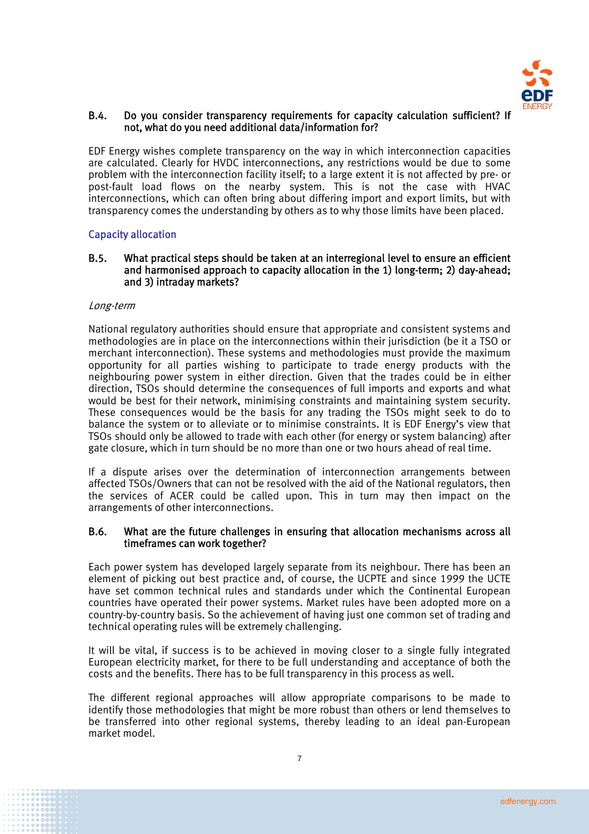

### B.4. Do you consider transparency requirements for capacity calculation sufficient? If not, what do you need additional data/information for?

EDF Energy wishes complete transparency on the way in which interconnection capacities are calculated. Clearly for HVDC interconnections, any restrictions would be due to some problem with the interconnection facility itself; to a large extent it is not affected by pre- or post-fault load flows on the nearby system. This is not the case with HVAC interconnections, which can often bring about differing import and export limits, but with transparency comes the understanding by others as to why those limits have been placed.

# Capacity allocation

### B.5. What practical steps should be taken at an interregional level to ensure an efficient and harmonised approach to capacity allocation in the 1) long-term; 2) day-ahead; and 3) intraday markets?

### Long-term

National regulatory authorities should ensure that appropriate and consistent systems and methodologies are in place on the interconnections within their jurisdiction (be it a TSO or merchant interconnection). These systems and methodologies must provide the maximum opportunity for all parties wishing to participate to trade energy products with the neighbouring power system in either direction. Given that the trades could be in either direction, TSOs should determine the consequences of full imports and exports and what would be best for their network, minimising constraints and maintaining system security. These consequences would be the basis for any trading the TSOs might seek to do to balance the system or to alleviate or to minimise constraints. It is EDF Energy's view that TSOs should only be allowed to trade with each other (for energy or system balancing) after gate closure, which in turn should be no more than one or two hours ahead of real time.

If a dispute arises over the determination of interconnection arrangements between affected TSOs/Owners that can not be resolved with the aid of the National regulators, then the services of ACER could be called upon. This in turn may then impact on the arrangements of other interconnections.

#### B.6. What are the future challenges in ensuring that allocation mechanisms across all timeframes can work together?

Each power system has developed largely separate from its neighbour. There has been an element of picking out best practice and, of course, the UCPTE and since 1999 the UCTE have set common technical rules and standards under which the Continental European countries have operated their power systems. Market rules have been adopted more on a country-by-country basis. So the achievement of having just one common set of trading and technical operating rules will be extremely challenging.

It will be vital, if success is to be achieved in moving closer to a single fully integrated European electricity market, for there to be full understanding and acceptance of both the costs and the benefits. There has to be full transparency in this process as well.

The different regional approaches will allow appropriate comparisons to be made to identify those methodologies that might be more robust than others or lend themselves to be transferred into other regional systems, thereby leading to an ideal pan-European market model.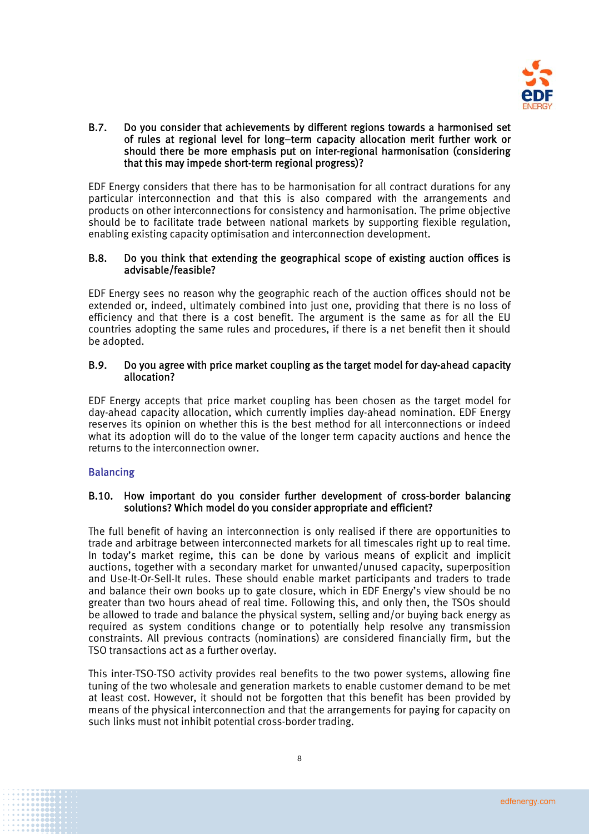

### B.7. Do you consider that achievements by different regions towards a harmonised set of rules at regional level for long–term capacity allocation merit further work or should there be more emphasis put on inter-regional harmonisation (considering that this may impede short-term regional progress)?

EDF Energy considers that there has to be harmonisation for all contract durations for any particular interconnection and that this is also compared with the arrangements and products on other interconnections for consistency and harmonisation. The prime objective should be to facilitate trade between national markets by supporting flexible regulation, enabling existing capacity optimisation and interconnection development.

# B.8. Do you think that extending the geographical scope of existing auction offices is advisable/feasible?

EDF Energy sees no reason why the geographic reach of the auction offices should not be extended or, indeed, ultimately combined into just one, providing that there is no loss of efficiency and that there is a cost benefit. The argument is the same as for all the EU countries adopting the same rules and procedures, if there is a net benefit then it should be adopted.

# B.9. Do you agree with price market coupling as the target model for day-ahead capacity allocation?

EDF Energy accepts that price market coupling has been chosen as the target model for day-ahead capacity allocation, which currently implies day-ahead nomination. EDF Energy reserves its opinion on whether this is the best method for all interconnections or indeed what its adoption will do to the value of the longer term capacity auctions and hence the returns to the interconnection owner.

# **Balancing**

# B.10. How important do you consider further development of cross-border balancing solutions? Which model do you consider appropriate and efficient?

The full benefit of having an interconnection is only realised if there are opportunities to trade and arbitrage between interconnected markets for all timescales right up to real time. In today's market regime, this can be done by various means of explicit and implicit auctions, together with a secondary market for unwanted/unused capacity, superposition and Use-It-Or-Sell-It rules. These should enable market participants and traders to trade and balance their own books up to gate closure, which in EDF Energy's view should be no greater than two hours ahead of real time. Following this, and only then, the TSOs should be allowed to trade and balance the physical system, selling and/or buying back energy as required as system conditions change or to potentially help resolve any transmission constraints. All previous contracts (nominations) are considered financially firm, but the TSO transactions act as a further overlay.

This inter-TSO-TSO activity provides real benefits to the two power systems, allowing fine tuning of the two wholesale and generation markets to enable customer demand to be met at least cost. However, it should not be forgotten that this benefit has been provided by means of the physical interconnection and that the arrangements for paying for capacity on such links must not inhibit potential cross-border trading.